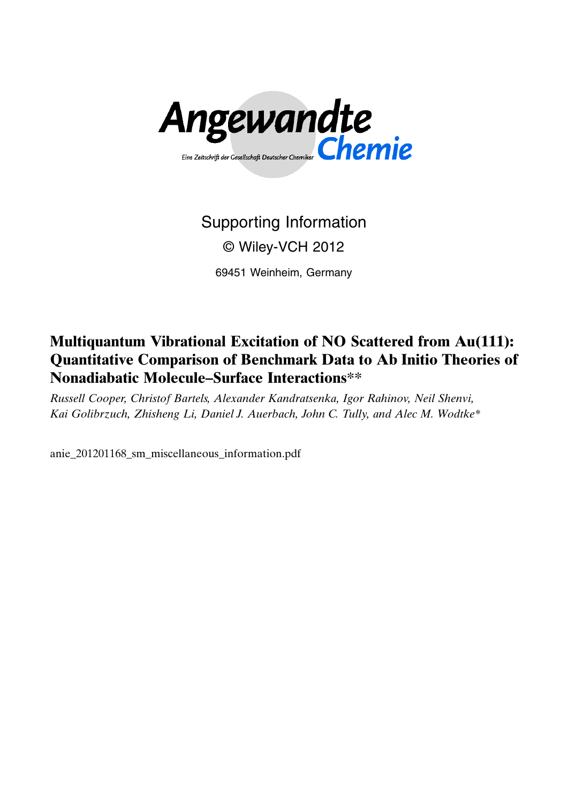

# Supporting Information © Wiley-VCH 2012

69451 Weinheim, Germany

## Multiquantum Vibrational Excitation of NO Scattered from Au(111): Quantitative Comparison of Benchmark Data to Ab Initio Theories of Nonadiabatic Molecule–Surface Interactions\*\*

Russell Cooper, Christof Bartels, Alexander Kandratsenka, Igor Rahinov, Neil Shenvi, Kai Golibrzuch, Zhisheng Li, Daniel J. Auerbach, John C. Tully, and Alec M. Wodtke\*

anie\_201201168\_sm\_miscellaneous\_information.pdf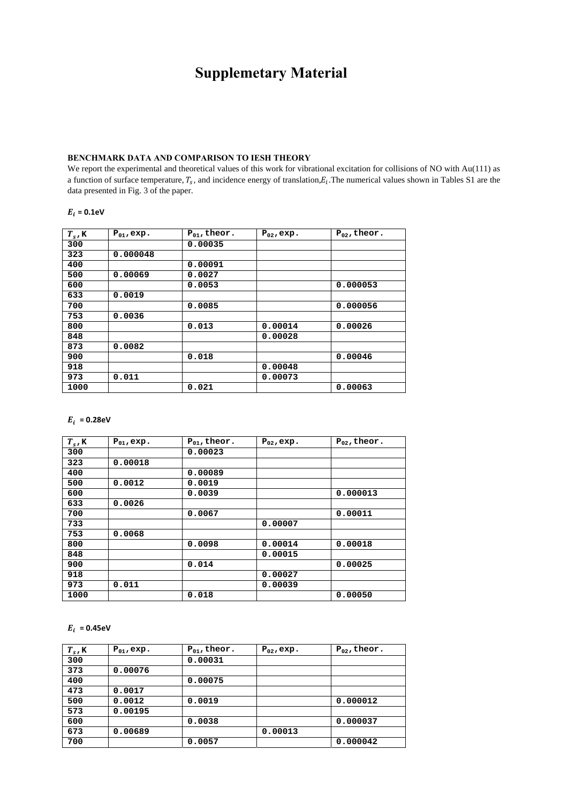## **Supplemetary Material**

#### **BENCHMARK DATA AND COMPARISON TO IESH THEORY**

We report the experimental and theoretical values of this work for vibrational excitation for collisions of NO with Au(111) as a function of surface temperature,  $T_s$ , and incidence energy of translation, $E_i$ . The numerical values shown in Tables S1 are the data presented in Fig. 3 of the paper.

#### $E_i$  = 0.1eV

| $T_s$ , K | $P_{01}$ , exp. | $P_{01}$ , theor. | $P_{02}$ , exp. | $P_{02}$ , theor. |
|-----------|-----------------|-------------------|-----------------|-------------------|
| 300       |                 | 0.00035           |                 |                   |
| 323       | 0.000048        |                   |                 |                   |
| 400       |                 | 0.00091           |                 |                   |
| 500       | 0.00069         | 0.0027            |                 |                   |
| 600       |                 | 0.0053            |                 | 0.000053          |
| 633       | 0.0019          |                   |                 |                   |
| 700       |                 | 0.0085            |                 | 0.000056          |
| 753       | 0.0036          |                   |                 |                   |
| 800       |                 | 0.013             | 0.00014         | 0.00026           |
| 848       |                 |                   | 0.00028         |                   |
| 873       | 0.0082          |                   |                 |                   |
| 900       |                 | 0.018             |                 | 0.00046           |
| 918       |                 |                   | 0.00048         |                   |
| 973       | 0.011           |                   | 0.00073         |                   |
| 1000      |                 | 0.021             |                 | 0.00063           |

#### $E_i = 0.28$ eV

| $T_s$ , K | $P_{01}$ , exp. | $P_{01}$ , theor. | $P_{02}$ , exp. | $P_{02}$ , theor. |
|-----------|-----------------|-------------------|-----------------|-------------------|
| 300       |                 | 0.00023           |                 |                   |
| 323       | 0.00018         |                   |                 |                   |
| 400       |                 | 0.00089           |                 |                   |
| 500       | 0.0012          | 0.0019            |                 |                   |
| 600       |                 | 0.0039            |                 | 0.000013          |
| 633       | 0.0026          |                   |                 |                   |
| 700       |                 | 0.0067            |                 | 0.00011           |
| 733       |                 |                   | 0.00007         |                   |
| 753       | 0.0068          |                   |                 |                   |
| 800       |                 | 0.0098            | 0.00014         | 0.00018           |
| 848       |                 |                   | 0.00015         |                   |
| 900       |                 | 0.014             |                 | 0.00025           |
| 918       |                 |                   | 0.00027         |                   |
| 973       | 0.011           |                   | 0.00039         |                   |
| 1000      |                 | 0.018             |                 | 0.00050           |

#### $E_i = 0.45$ eV

| $T_s$ , K | $P_{01}$ , exp. | $P_{01}$ , theor. | $P_{02}$ , exp. | $P_{02}$ , theor. |
|-----------|-----------------|-------------------|-----------------|-------------------|
| 300       |                 | 0.00031           |                 |                   |
| 373       | 0.00076         |                   |                 |                   |
| 400       |                 | 0.00075           |                 |                   |
| 473       | 0.0017          |                   |                 |                   |
| 500       | 0.0012          | 0.0019            |                 | 0.000012          |
| 573       | 0.00195         |                   |                 |                   |
| 600       |                 | 0.0038            |                 | 0.000037          |
| 673       | 0.00689         |                   | 0.00013         |                   |
| 700       |                 | 0.0057            |                 | 0.000042          |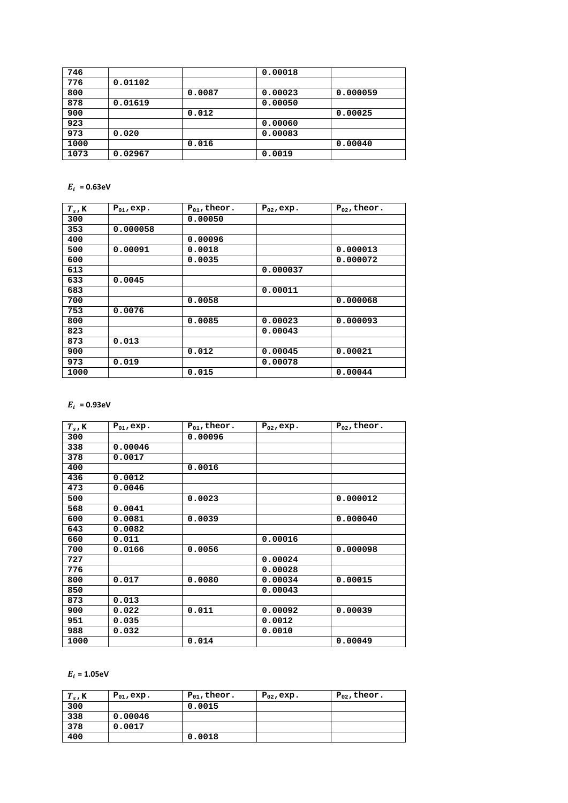| 746  |         |        | 0.00018 |          |
|------|---------|--------|---------|----------|
| 776  | 0.01102 |        |         |          |
| 800  |         | 0.0087 | 0.00023 | 0.000059 |
| 878  | 0.01619 |        | 0.00050 |          |
| 900  |         | 0.012  |         | 0.00025  |
| 923  |         |        | 0.00060 |          |
| 973  | 0.020   |        | 0.00083 |          |
| 1000 |         | 0.016  |         | 0.00040  |
| 1073 | 0.02967 |        | 0.0019  |          |

## $E_i = 0.63$ eV

| $T_s$ , K | $P_{01}$ , exp. | $P_{01}$ , theor. | $P_{02}$ , exp. | $P_{02}$ , theor. |
|-----------|-----------------|-------------------|-----------------|-------------------|
| 300       |                 | 0.00050           |                 |                   |
| 353       | 0.000058        |                   |                 |                   |
| 400       |                 | 0.00096           |                 |                   |
| 500       | 0.00091         | 0.0018            |                 | 0.000013          |
| 600       |                 | 0.0035            |                 | 0.000072          |
| 613       |                 |                   | 0.000037        |                   |
| 633       | 0.0045          |                   |                 |                   |
| 683       |                 |                   | 0.00011         |                   |
| 700       |                 | 0.0058            |                 | 0.000068          |
| 753       | 0.0076          |                   |                 |                   |
| 800       |                 | 0.0085            | 0.00023         | 0.000093          |
| 823       |                 |                   | 0.00043         |                   |
| 873       | 0.013           |                   |                 |                   |
| 900       |                 | 0.012             | 0.00045         | 0.00021           |
| 973       | 0.019           |                   | 0.00078         |                   |
| 1000      |                 | 0.015             |                 | 0.00044           |

## $E_i = 0.93$ eV

| $T_s$ , K | $P_{01}$ , exp. | $P_{01}$ , theor. | $P_{02}$ , exp. | $P_{02}$ , theor. |
|-----------|-----------------|-------------------|-----------------|-------------------|
| 300       |                 | 0.00096           |                 |                   |
| 338       | 0.00046         |                   |                 |                   |
| 378       | 0.0017          |                   |                 |                   |
| 400       |                 | 0.0016            |                 |                   |
| 436       | 0.0012          |                   |                 |                   |
| 473       | 0.0046          |                   |                 |                   |
| 500       |                 | 0.0023            |                 | 0.000012          |
| 568       | 0.0041          |                   |                 |                   |
| 600       | 0.0081          | 0.0039            |                 | 0.000040          |
| 643       | 0.0082          |                   |                 |                   |
| 660       | 0.011           |                   | 0.00016         |                   |
| 700       | 0.0166          | 0.0056            |                 | 0.000098          |
| 727       |                 |                   | 0.00024         |                   |
| 776       |                 |                   | 0.00028         |                   |
| 800       | 0.017           | 0.0080            | 0.00034         | 0.00015           |
| 850       |                 |                   | 0.00043         |                   |
| 873       | 0.013           |                   |                 |                   |
| 900       | 0.022           | 0.011             | 0.00092         | 0.00039           |
| 951       | 0.035           |                   | 0.0012          |                   |
| 988       | 0.032           |                   | 0.0010          |                   |
| 1000      |                 | 0.014             |                 | 0.00049           |

### $E_i = 1.05$ eV

| $T_s$ , K | $P_{01}$ , exp. | $P_{01}$ , theor. | $P_{02}$ , exp. | $P_{02}$ , theor. |
|-----------|-----------------|-------------------|-----------------|-------------------|
| 300       |                 | 0.0015            |                 |                   |
| 338       | 0.00046         |                   |                 |                   |
| 378       | 0.0017          |                   |                 |                   |
| 400       |                 | 0.0018            |                 |                   |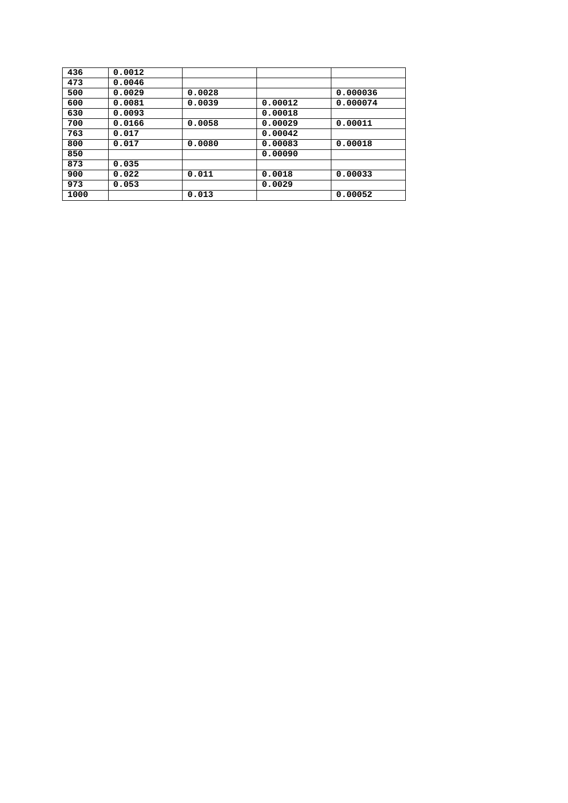| 436  | 0.0012 |        |         |          |
|------|--------|--------|---------|----------|
| 473  | 0.0046 |        |         |          |
| 500  | 0.0029 | 0.0028 |         | 0.000036 |
| 600  | 0.0081 | 0.0039 | 0.00012 | 0.000074 |
| 630  | 0.0093 |        | 0.00018 |          |
| 700  | 0.0166 | 0.0058 | 0.00029 | 0.00011  |
| 763  | 0.017  |        | 0.00042 |          |
| 800  | 0.017  | 0.0080 | 0.00083 | 0.00018  |
| 850  |        |        | 0.00090 |          |
| 873  | 0.035  |        |         |          |
| 900  | 0.022  | 0.011  | 0.0018  | 0.00033  |
| 973  | 0.053  |        | 0.0029  |          |
| 1000 |        | 0.013  |         | 0.00052  |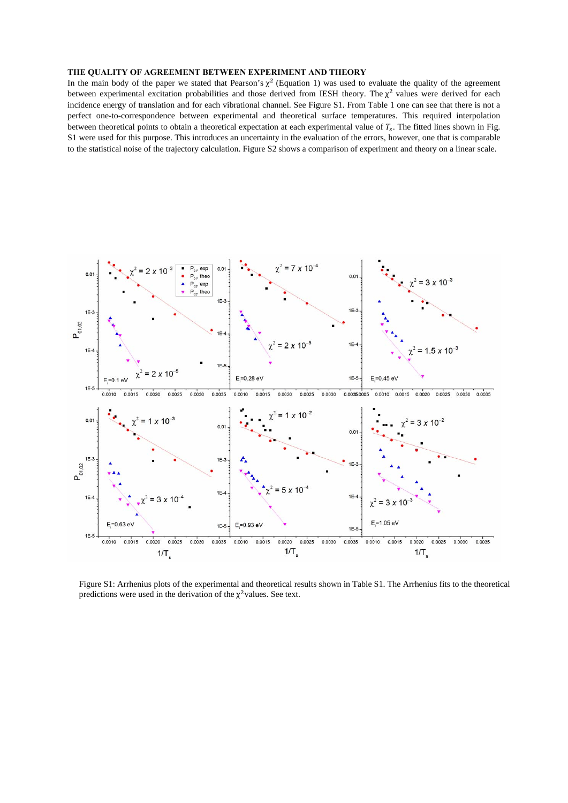#### **THE QUALITY OF AGREEMENT BETWEEN EXPERIMENT AND THEORY**

In the main body of the paper we stated that Pearson's  $\chi^2$  (Equation 1) was used to evaluate the quality of the agreement between experimental excitation probabilities and those derived from IESH theory. The  $\chi^2$  values were derived for each incidence energy of translation and for each vibrational channel. See Figure S1. From Table 1 one can see that there is not a perfect one-to-correspondence between experimental and theoretical surface temperatures. This required interpolation between theoretical points to obtain a theoretical expectation at each experimental value of  $T_s$ . The fitted lines shown in Fig. S1 were used for this purpose. This introduces an uncertainty in the evaluation of the errors, however, one that is comparable to the statistical noise of the trajectory calculation. Figure S2 shows a comparison of experiment and theory on a linear scale.



Figure S1: Arrhenius plots of the experimental and theoretical results shown in Table S1. The Arrhenius fits to the theoretical predictions were used in the derivation of the  $\chi^2$  values. See text.